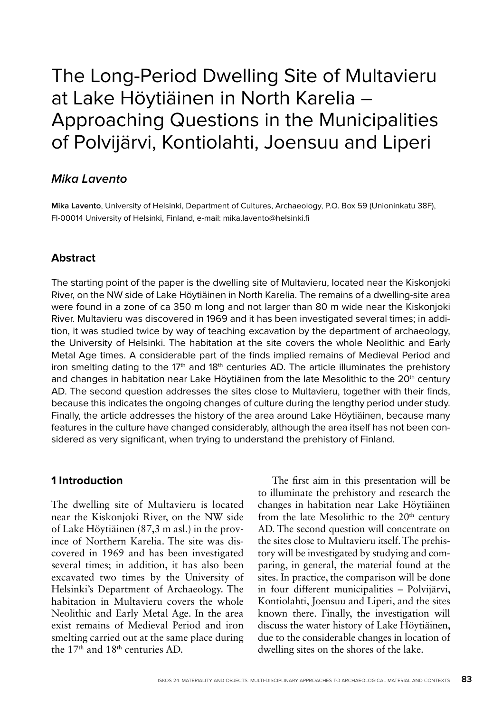# The Long-Period Dwelling Site of Multavieru at Lake Höytiäinen in North Karelia – Approaching Questions in the Municipalities of Polvijärvi, Kontiolahti, Joensuu and Liperi

# **Mika Lavento**

**Mika Lavento**, University of Helsinki, Department of Cultures, Archaeology, P.O. Box 59 (Unioninkatu 38F), FI-00014 University of Helsinki, Finland, e-mail: mika.lavento@helsinki.fi

## **Abstract**

The starting point of the paper is the dwelling site of Multavieru, located near the Kiskonjoki River, on the NW side of Lake Höytiäinen in North Karelia. The remains of a dwelling-site area were found in a zone of ca 350 m long and not larger than 80 m wide near the Kiskonjoki River. Multavieru was discovered in 1969 and it has been investigated several times; in addition, it was studied twice by way of teaching excavation by the department of archaeology, the University of Helsinki. The habitation at the site covers the whole Neolithic and Early Metal Age times. A considerable part of the finds implied remains of Medieval Period and iron smelting dating to the  $17<sup>th</sup>$  and  $18<sup>th</sup>$  centuries AD. The article illuminates the prehistory and changes in habitation near Lake Höytiäinen from the late Mesolithic to the 20<sup>th</sup> century AD. The second question addresses the sites close to Multavieru, together with their finds, because this indicates the ongoing changes of culture during the lengthy period under study. Finally, the article addresses the history of the area around Lake Höytiäinen, because many features in the culture have changed considerably, although the area itself has not been considered as very significant, when trying to understand the prehistory of Finland.

#### **1 Introduction**

The dwelling site of Multavieru is located near the Kiskonjoki River, on the NW side of Lake Höytiäinen (87,3 m asl.) in the province of Northern Karelia. The site was discovered in 1969 and has been investigated several times; in addition, it has also been excavated two times by the University of Helsinki's Department of Archaeology. The habitation in Multavieru covers the whole Neolithic and Early Metal Age. In the area exist remains of Medieval Period and iron smelting carried out at the same place during the 17<sup>th</sup> and 18<sup>th</sup> centuries AD.

The first aim in this presentation will be to illuminate the prehistory and research the changes in habitation near Lake Höytiäinen from the late Mesolithic to the 20<sup>th</sup> century AD. The second question will concentrate on the sites close to Multavieru itself. The prehistory will be investigated by studying and comparing, in general, the material found at the sites. In practice, the comparison will be done in four different municipalities – Polvijärvi, Kontiolahti, Joensuu and Liperi, and the sites known there. Finally, the investigation will discuss the water history of Lake Höytiäinen, due to the considerable changes in location of dwelling sites on the shores of the lake.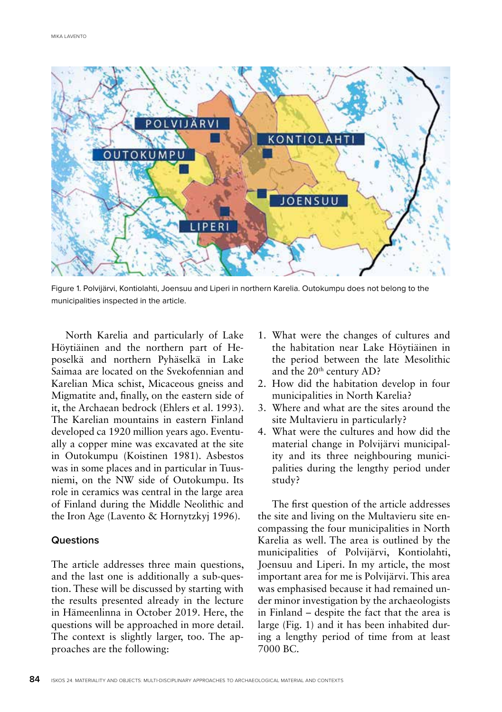

Figure 1. Polvijärvi, Kontiolahti, Joensuu and Liperi in northern Karelia. Outokumpu does not belong to the municipalities inspected in the article.

North Karelia and particularly of Lake Höytiäinen and the northern part of Heposelkä and northern Pyhäselkä in Lake Saimaa are located on the Svekofennian and Karelian Mica schist, Micaceous gneiss and Migmatite and, finally, on the eastern side of it, the Archaean bedrock (Ehlers et al. 1993). The Karelian mountains in eastern Finland developed ca 1920 million years ago. Eventually a copper mine was excavated at the site in Outokumpu (Koistinen 1981). Asbestos was in some places and in particular in Tuusniemi, on the NW side of Outokumpu. Its role in ceramics was central in the large area of Finland during the Middle Neolithic and the Iron Age (Lavento & Hornytzkyj 1996).

#### **Questions**

The article addresses three main questions, and the last one is additionally a sub-question. These will be discussed by starting with the results presented already in the lecture in Hämeenlinna in October 2019. Here, the questions will be approached in more detail. The context is slightly larger, too. The approaches are the following:

- 1. What were the changes of cultures and the habitation near Lake Höytiäinen in the period between the late Mesolithic and the 20<sup>th</sup> century AD?
- 2. How did the habitation develop in four municipalities in North Karelia?
- 3. Where and what are the sites around the site Multavieru in particularly?
- 4. What were the cultures and how did the material change in Polvijärvi municipality and its three neighbouring municipalities during the lengthy period under study?

The first question of the article addresses the site and living on the Multavieru site encompassing the four municipalities in North Karelia as well. The area is outlined by the municipalities of Polvijärvi, Kontiolahti, Joensuu and Liperi. In my article, the most important area for me is Polvijärvi. This area was emphasised because it had remained under minor investigation by the archaeologists in Finland – despite the fact that the area is large (Fig. 1) and it has been inhabited during a lengthy period of time from at least 7000 BC.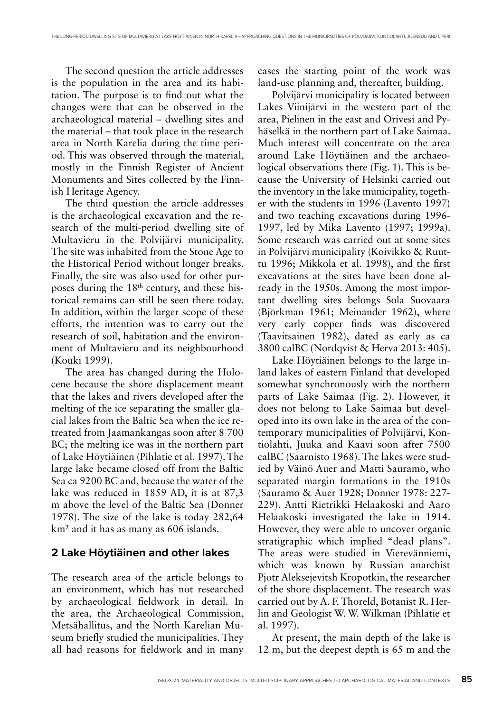The second question the article addresses is the population in the area and its habitation. The purpose is to find out what the changes were that can be observed in the archaeological material – dwelling sites and the material – that took place in the research area in North Karelia during the time period. This was observed through the material, mostly in the Finnish Register of Ancient Monuments and Sites collected by the Finnish Heritage Agency.

The third question the article addresses is the archaeological excavation and the research of the multi-period dwelling site of Multavieru in the Polvijärvi municipality. The site was inhabited from the Stone Age to the Historical Period without longer breaks. Finally, the site was also used for other purposes during the 18<sup>th</sup> century, and these historical remains can still be seen there today. In addition, within the larger scope of these efforts, the intention was to carry out the research of soil, habitation and the environment of Multavieru and its neighbourhood (Kouki 1999).

The area has changed during the Holocene because the shore displacement meant that the lakes and rivers developed after the melting of the ice separating the smaller glacial lakes from the Baltic Sea when the ice retreated from Jaamankangas soon after 8 700 BC; the melting ice was in the northern part of Lake Höytiäinen (Pihlatie et al. 1997). The large lake became closed off from the Baltic Sea ca 9200 BC and, because the water of the lake was reduced in 1859 AD, it is at 87,3 m above the level of the Baltic Sea (Donner 1978). The size of the lake is today 282,64 km² and it has as many as 606 islands.

#### **2 Lake Höytiäinen and other lakes**

The research area of the article belongs to an environment, which has not researched by archaeological fieldwork in detail. In the area, the Archaeological Commission, Metsähallitus, and the North Karelian Museum briefly studied the municipalities. They all had reasons for fieldwork and in many

cases the starting point of the work was land-use planning and, thereafter, building.

Polvijärvi municipality is located between Lakes Viinijärvi in the western part of the area, Pielinen in the east and Orivesi and Pyhäselkä in the northern part of Lake Saimaa. Much interest will concentrate on the area around Lake Höytiäinen and the archaeological observations there (Fig. 1). This is because the University of Helsinki carried out the inventory in the lake municipality, together with the students in 1996 (Lavento 1997) and two teaching excavations during 1996- 1997, led by Mika Lavento (1997; 1999a). Some research was carried out at some sites in Polvijärvi municipality (Koivikko & Ruuttu 1996; Mikkola et al. 1998), and the first excavations at the sites have been done already in the 1950s. Among the most important dwelling sites belongs Sola Suovaara (Björkman 1961; Meinander 1962), where very early copper finds was discovered (Taavitsainen 1982), dated as early as ca 3800 calBC (Nordqvist & Herva 2013: 405).

Lake Höytiäinen belongs to the large inland lakes of eastern Finland that developed somewhat synchronously with the northern parts of Lake Saimaa (Fig. 2). However, it does not belong to Lake Saimaa but developed into its own lake in the area of the contemporary municipalities of Polvijärvi, Kontiolahti, Juuka and Kaavi soon after 7500 calBC (Saarnisto 1968). The lakes were studied by Väinö Auer and Matti Sauramo, who separated margin formations in the 1910s (Sauramo & Auer 1928; Donner 1978: 227- 229). Antti Rietrikki Helaakoski and Aaro Helaakoski investigated the lake in 1914. However, they were able to uncover organic stratigraphic which implied "dead plans". The areas were studied in Vierevänniemi, which was known by Russian anarchist Pjotr Aleksejevitsh Kropotkin, the researcher of the shore displacement. The research was carried out by A. F. Thoreld, Botanist R. Herlin and Geologist W. W. Wilkman (Pihlatie et al. 1997).

At present, the main depth of the lake is 12 m, but the deepest depth is 65 m and the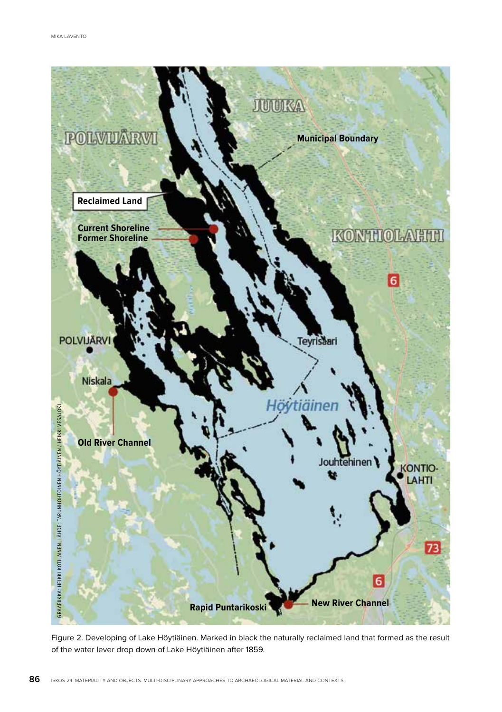

Figure 2. Developing of Lake Höytiäinen. Marked in black the naturally reclaimed land that formed as the result of the water lever drop down of Lake Höytiäinen after 1859.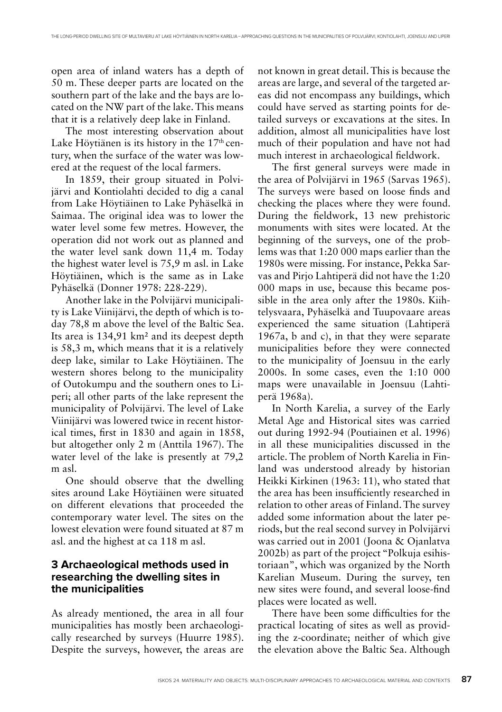open area of inland waters has a depth of 50 m. These deeper parts are located on the southern part of the lake and the bays are located on the NW part of the lake. This means that it is a relatively deep lake in Finland.

The most interesting observation about Lake Höytiänen is its history in the  $17<sup>th</sup>$  century, when the surface of the water was lowered at the request of the local farmers.

In 1859, their group situated in Polvijärvi and Kontiolahti decided to dig a canal from Lake Höytiäinen to Lake Pyhäselkä in Saimaa. The original idea was to lower the water level some few metres. However, the operation did not work out as planned and the water level sank down 11,4 m. Today the highest water level is 75,9 m asl. in Lake Höytiäinen, which is the same as in Lake Pyhäselkä (Donner 1978: 228-229).

Another lake in the Polvijärvi municipality is Lake Viinijärvi, the depth of which is today 78,8 m above the level of the Baltic Sea. Its area is 134,91 km² and its deepest depth is 58,3 m, which means that it is a relatively deep lake, similar to Lake Höytiäinen. The western shores belong to the municipality of Outokumpu and the southern ones to Liperi; all other parts of the lake represent the municipality of Polvijärvi. The level of Lake Viinijärvi was lowered twice in recent historical times, first in 1830 and again in 1858, but altogether only 2 m (Anttila 1967). The water level of the lake is presently at 79,2 m asl.

One should observe that the dwelling sites around Lake Höytiäinen were situated on different elevations that proceeded the contemporary water level. The sites on the lowest elevation were found situated at 87 m asl. and the highest at ca 118 m asl.

## **3 Archaeological methods used in researching the dwelling sites in the municipalities**

As already mentioned, the area in all four municipalities has mostly been archaeologically researched by surveys (Huurre 1985). Despite the surveys, however, the areas are

not known in great detail. This is because the areas are large, and several of the targeted areas did not encompass any buildings, which could have served as starting points for detailed surveys or excavations at the sites. In addition, almost all municipalities have lost much of their population and have not had much interest in archaeological fieldwork.

The first general surveys were made in the area of Polvijärvi in 1965 (Sarvas 1965). The surveys were based on loose finds and checking the places where they were found. During the fieldwork, 13 new prehistoric monuments with sites were located. At the beginning of the surveys, one of the problems was that 1:20 000 maps earlier than the 1980s were missing. For instance, Pekka Sarvas and Pirjo Lahtiperä did not have the 1:20 000 maps in use, because this became possible in the area only after the 1980s. Kiihtelysvaara, Pyhäselkä and Tuupovaare areas experienced the same situation (Lahtiperä 1967a, b and c), in that they were separate municipalities before they were connected to the municipality of Joensuu in the early 2000s. In some cases, even the 1:10 000 maps were unavailable in Joensuu (Lahtiperä 1968a).

In North Karelia, a survey of the Early Metal Age and Historical sites was carried out during 1992-94 (Poutiainen et al. 1996) in all these municipalities discussed in the article. The problem of North Karelia in Finland was understood already by historian Heikki Kirkinen (1963: 11), who stated that the area has been insufficiently researched in relation to other areas of Finland. The survey added some information about the later periods, but the real second survey in Polvijärvi was carried out in 2001 (Joona & Ojanlatva 2002b) as part of the project "Polkuja esihistoriaan", which was organized by the North Karelian Museum. During the survey, ten new sites were found, and several loose-find places were located as well.

There have been some difficulties for the practical locating of sites as well as providing the z-coordinate; neither of which give the elevation above the Baltic Sea. Although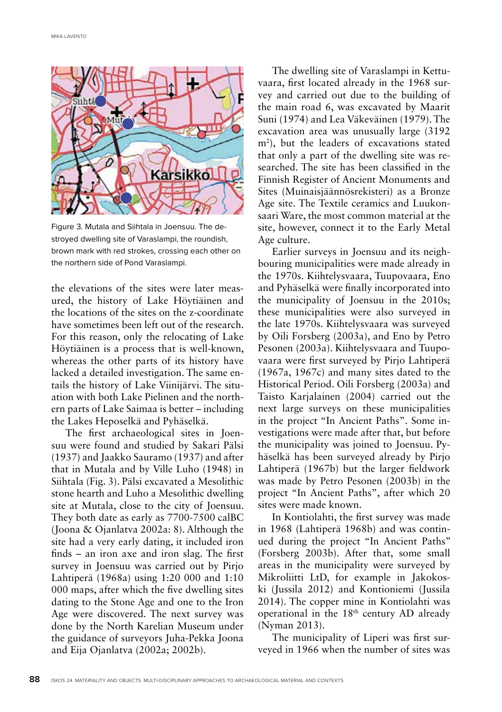

Figure 3. Mutala and Siihtala in Joensuu. The destroyed dwelling site of Varaslampi, the roundish, brown mark with red strokes, crossing each other on the northern side of Pond Varaslampi.

the elevations of the sites were later measured, the history of Lake Höytiäinen and the locations of the sites on the z-coordinate have sometimes been left out of the research. For this reason, only the relocating of Lake Höytiäinen is a process that is well-known, whereas the other parts of its history have lacked a detailed investigation. The same entails the history of Lake Viinijärvi. The situation with both Lake Pielinen and the northern parts of Lake Saimaa is better – including the Lakes Heposelkä and Pyhäselkä.

The first archaeological sites in Joensuu were found and studied by Sakari Pälsi (1937) and Jaakko Sauramo (1937) and after that in Mutala and by Ville Luho (1948) in Siihtala (Fig. 3). Pälsi excavated a Mesolithic stone hearth and Luho a Mesolithic dwelling site at Mutala, close to the city of Joensuu. They both date as early as 7700-7500 calBC (Joona & Ojanlatva 2002a: 8). Although the site had a very early dating, it included iron finds – an iron axe and iron slag. The first survey in Joensuu was carried out by Pirjo Lahtiperä (1968a) using 1:20 000 and 1:10 000 maps, after which the five dwelling sites dating to the Stone Age and one to the Iron Age were discovered. The next survey was done by the North Karelian Museum under the guidance of surveyors Juha-Pekka Joona and Eija Ojanlatva (2002a; 2002b).

The dwelling site of Varaslampi in Kettuvaara, first located already in the 1968 survey and carried out due to the building of the main road 6, was excavated by Maarit Suni (1974) and Lea Väkeväinen (1979). The excavation area was unusually large (3192 m2 ), but the leaders of excavations stated that only a part of the dwelling site was researched. The site has been classified in the Finnish Register of Ancient Monuments and Sites (Muinaisjäännösrekisteri) as a Bronze Age site. The Textile ceramics and Luukonsaari Ware, the most common material at the site, however, connect it to the Early Metal Age culture.

Earlier surveys in Joensuu and its neighbouring municipalities were made already in the 1970s. Kiihtelysvaara, Tuupovaara, Eno and Pyhäselkä were finally incorporated into the municipality of Joensuu in the 2010s; these municipalities were also surveyed in the late 1970s. Kiihtelysvaara was surveyed by Oili Forsberg (2003a), and Eno by Petro Pesonen (2003a). Kiihtelysvaara and Tuupovaara were first surveyed by Pirjo Lahtiperä (1967a, 1967c) and many sites dated to the Historical Period. Oili Forsberg (2003a) and Taisto Karjalainen (2004) carried out the next large surveys on these municipalities in the project "In Ancient Paths". Some investigations were made after that, but before the municipality was joined to Joensuu. Pyhäselkä has been surveyed already by Pirjo Lahtiperä (1967b) but the larger fieldwork was made by Petro Pesonen (2003b) in the project "In Ancient Paths", after which 20 sites were made known.

In Kontiolahti, the first survey was made in 1968 (Lahtiperä 1968b) and was continued during the project "In Ancient Paths" (Forsberg 2003b). After that, some small areas in the municipality were surveyed by Mikroliitti LtD, for example in Jakokoski (Jussila 2012) and Kontioniemi (Jussila 2014). The copper mine in Kontiolahti was operational in the 18<sup>th</sup> century AD already (Nyman 2013).

The municipality of Liperi was first surveyed in 1966 when the number of sites was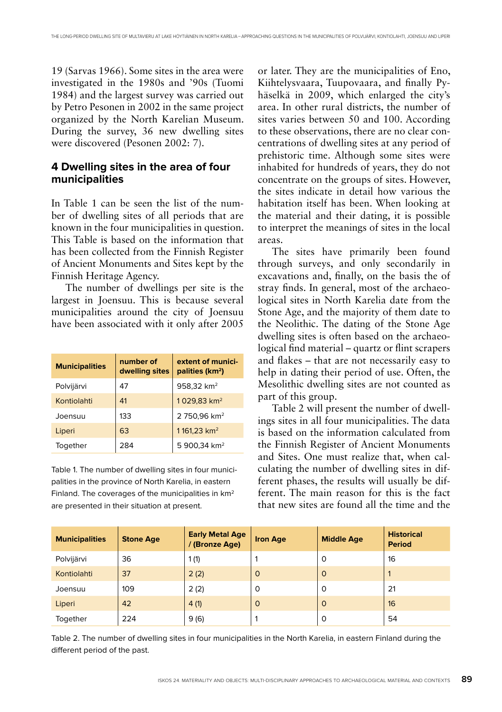19 (Sarvas 1966). Some sites in the area were investigated in the 1980s and '90s (Tuomi 1984) and the largest survey was carried out by Petro Pesonen in 2002 in the same project organized by the North Karelian Museum. During the survey, 36 new dwelling sites were discovered (Pesonen 2002: 7).

#### **4 Dwelling sites in the area of four municipalities**

In Table 1 can be seen the list of the number of dwelling sites of all periods that are known in the four municipalities in question. This Table is based on the information that has been collected from the Finnish Register of Ancient Monuments and Sites kept by the Finnish Heritage Agency.

The number of dwellings per site is the largest in Joensuu. This is because several municipalities around the city of Joensuu have been associated with it only after 2005

| <b>Municipalities</b> | number of<br>dwelling sites | extent of munici-<br>palities (km <sup>2</sup> ) |
|-----------------------|-----------------------------|--------------------------------------------------|
| Polvijärvi            | 47                          | 958,32 km <sup>2</sup>                           |
| Kontiolahti           | 41                          | 1029,83 km <sup>2</sup>                          |
| Joensuu               | 133                         | 2 750,96 km <sup>2</sup>                         |
| Liperi                | 63                          | 1161,23 km <sup>2</sup>                          |
| Together              | 284                         | 5 900,34 km <sup>2</sup>                         |

Table 1. The number of dwelling sites in four municipalities in the province of North Karelia, in eastern Finland. The coverages of the municipalities in km2 are presented in their situation at present.

or later. They are the municipalities of Eno, Kiihtelysvaara, Tuupovaara, and finally Pyhäselkä in 2009, which enlarged the city's area. In other rural districts, the number of sites varies between 50 and 100. According to these observations, there are no clear concentrations of dwelling sites at any period of prehistoric time. Although some sites were inhabited for hundreds of years, they do not concentrate on the groups of sites. However, the sites indicate in detail how various the habitation itself has been. When looking at the material and their dating, it is possible to interpret the meanings of sites in the local areas.

The sites have primarily been found through surveys, and only secondarily in excavations and, finally, on the basis the of stray finds. In general, most of the archaeological sites in North Karelia date from the Stone Age, and the majority of them date to the Neolithic. The dating of the Stone Age dwelling sites is often based on the archaeological find material – quartz or flint scrapers and flakes – that are not necessarily easy to help in dating their period of use. Often, the Mesolithic dwelling sites are not counted as part of this group.

Table 2 will present the number of dwellings sites in all four municipalities. The data is based on the information calculated from the Finnish Register of Ancient Monuments and Sites. One must realize that, when calculating the number of dwelling sites in different phases, the results will usually be different. The main reason for this is the fact that new sites are found all the time and the

| <b>Municipalities</b> | <b>Stone Age</b> | <b>Early Metal Age</b><br>/ (Bronze Age) | <b>Iron Age</b> | <b>Middle Age</b> | <b>Historical</b><br><b>Period</b> |
|-----------------------|------------------|------------------------------------------|-----------------|-------------------|------------------------------------|
| Polvijärvi            | 36               | 1(1)                                     |                 | $\Omega$          | 16                                 |
| Kontiolahti           | 37               | 2(2)                                     | $\circ$         | $\Omega$          |                                    |
| Joensuu               | 109              | 2(2)                                     | $\circ$         | 0                 | 21                                 |
| Liperi                | 42               | 4(1)                                     | $\circ$         | $\Omega$          | 16                                 |
| Together              | 224              | 9(6)                                     |                 | $\Omega$          | 54                                 |

Table 2. The number of dwelling sites in four municipalities in the North Karelia, in eastern Finland during the different period of the past.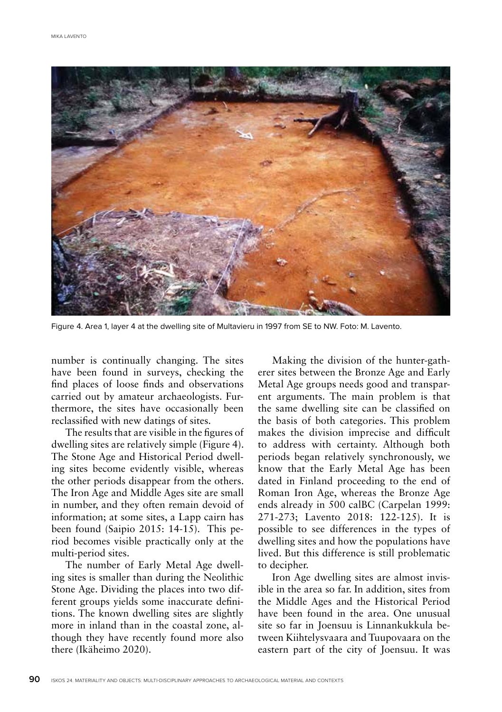

Figure 4. Area 1, layer 4 at the dwelling site of Multavieru in 1997 from SE to NW. Foto: M. Lavento.

number is continually changing. The sites have been found in surveys, checking the find places of loose finds and observations carried out by amateur archaeologists. Furthermore, the sites have occasionally been reclassified with new datings of sites.

The results that are visible in the figures of dwelling sites are relatively simple (Figure 4). The Stone Age and Historical Period dwelling sites become evidently visible, whereas the other periods disappear from the others. The Iron Age and Middle Ages site are small in number, and they often remain devoid of information; at some sites, a Lapp cairn has been found (Saipio 2015: 14-15). This period becomes visible practically only at the multi-period sites.

The number of Early Metal Age dwelling sites is smaller than during the Neolithic Stone Age. Dividing the places into two different groups yields some inaccurate definitions. The known dwelling sites are slightly more in inland than in the coastal zone, although they have recently found more also there (Ikäheimo 2020).

Making the division of the hunter-gatherer sites between the Bronze Age and Early Metal Age groups needs good and transparent arguments. The main problem is that the same dwelling site can be classified on the basis of both categories. This problem makes the division imprecise and difficult to address with certainty. Although both periods began relatively synchronously, we know that the Early Metal Age has been dated in Finland proceeding to the end of Roman Iron Age, whereas the Bronze Age ends already in 500 calBC (Carpelan 1999: 271-273; Lavento 2018: 122-125). It is possible to see differences in the types of dwelling sites and how the populations have lived. But this difference is still problematic to decipher.

Iron Age dwelling sites are almost invisible in the area so far. In addition, sites from the Middle Ages and the Historical Period have been found in the area. One unusual site so far in Joensuu is Linnankukkula between Kiihtelysvaara and Tuupovaara on the eastern part of the city of Joensuu. It was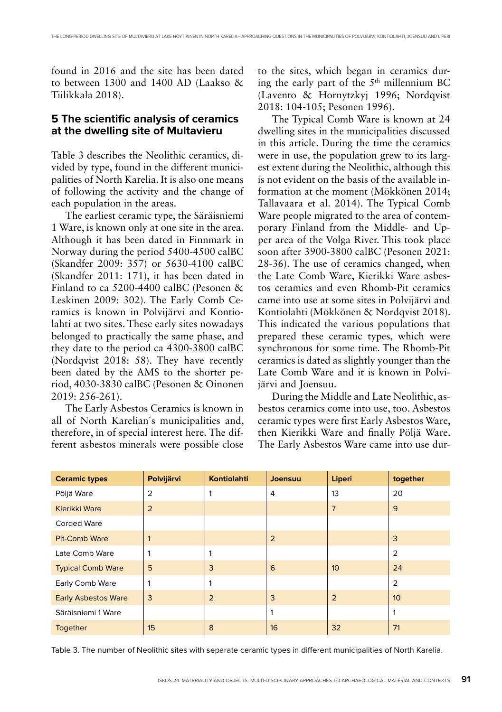found in 2016 and the site has been dated to between 1300 and 1400 AD (Laakso & Tiilikkala 2018).

#### **5 The scientific analysis of ceramics at the dwelling site of Multavieru**

Table 3 describes the Neolithic ceramics, divided by type, found in the different municipalities of North Karelia. It is also one means of following the activity and the change of each population in the areas.

The earliest ceramic type, the Säräisniemi 1 Ware, is known only at one site in the area. Although it has been dated in Finnmark in Norway during the period 5400-4500 calBC (Skandfer 2009: 357) or 5630-4100 calBC (Skandfer 2011: 171), it has been dated in Finland to ca 5200-4400 calBC (Pesonen & Leskinen 2009: 302). The Early Comb Ceramics is known in Polvijärvi and Kontiolahti at two sites. These early sites nowadays belonged to practically the same phase, and they date to the period ca 4300-3800 calBC (Nordqvist 2018: 58). They have recently been dated by the AMS to the shorter period, 4030-3830 calBC (Pesonen & Oinonen 2019: 256-261).

The Early Asbestos Ceramics is known in all of North Karelian´s municipalities and, therefore, in of special interest here. The different asbestos minerals were possible close to the sites, which began in ceramics during the early part of the 5th millennium BC (Lavento & Hornytzkyj 1996; Nordqvist 2018: 104-105; Pesonen 1996).

The Typical Comb Ware is known at 24 dwelling sites in the municipalities discussed in this article. During the time the ceramics were in use, the population grew to its largest extent during the Neolithic, although this is not evident on the basis of the available information at the moment (Mökkönen 2014; Tallavaara et al. 2014). The Typical Comb Ware people migrated to the area of contemporary Finland from the Middle- and Upper area of the Volga River. This took place soon after 3900-3800 calBC (Pesonen 2021: 28-36). The use of ceramics changed, when the Late Comb Ware, Kierikki Ware asbestos ceramics and even Rhomb-Pit ceramics came into use at some sites in Polvijärvi and Kontiolahti (Mökkönen & Nordqvist 2018). This indicated the various populations that prepared these ceramic types, which were synchronous for some time. The Rhomb-Pit ceramics is dated as slightly younger than the Late Comb Ware and it is known in Polvijärvi and Joensuu.

During the Middle and Late Neolithic, asbestos ceramics come into use, too. Asbestos ceramic types were first Early Asbestos Ware, then Kierikki Ware and finally Pöljä Ware. The Early Asbestos Ware came into use dur-

| <b>Ceramic types</b>       | Polvijärvi     | <b>Kontiolahti</b> | Joensuu | Liperi          | together        |
|----------------------------|----------------|--------------------|---------|-----------------|-----------------|
| Pöljä Ware                 | 2              |                    | 4       | 13              | 20              |
| Kierikki Ware              | $\overline{2}$ |                    |         | $\overline{7}$  | 9               |
| <b>Corded Ware</b>         |                |                    |         |                 |                 |
| <b>Pit-Comb Ware</b>       |                |                    | 2       |                 | 3               |
| Late Comb Ware             |                | 1                  |         |                 | $\overline{2}$  |
| <b>Typical Comb Ware</b>   | 5              | 3                  | 6       | 10 <sup>°</sup> | 24              |
| Early Comb Ware            |                |                    |         |                 | 2               |
| <b>Early Asbestos Ware</b> | 3              | 2                  | 3       | $\overline{2}$  | 10 <sup>°</sup> |
| Säräisniemi 1 Ware         |                |                    |         |                 | 1               |
| Together                   | 15             | 8                  | 16      | 32              | 71              |

Table 3. The number of Neolithic sites with separate ceramic types in different municipalities of North Karelia.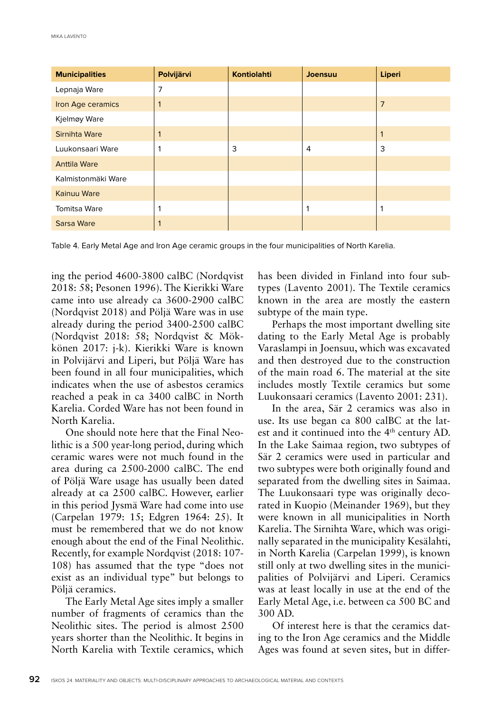| <b>Municipalities</b> | Polvijärvi | <b>Kontiolahti</b> | Joensuu | Liperi         |
|-----------------------|------------|--------------------|---------|----------------|
| Lepnaja Ware          | 7          |                    |         |                |
| Iron Age ceramics     |            |                    |         | $\overline{7}$ |
| Kjelmøy Ware          |            |                    |         |                |
| Sirnihta Ware         |            |                    |         | $\mathbf 1$    |
| Luukonsaari Ware      |            | 3                  | 4       | 3              |
| <b>Anttila Ware</b>   |            |                    |         |                |
| Kalmistonmäki Ware    |            |                    |         |                |
| Kainuu Ware           |            |                    |         |                |
| <b>Tomitsa Ware</b>   |            |                    |         | 1              |
| Sarsa Ware            |            |                    |         |                |

Table 4. Early Metal Age and Iron Age ceramic groups in the four municipalities of North Karelia.

ing the period 4600-3800 calBC (Nordqvist 2018: 58; Pesonen 1996). The Kierikki Ware came into use already ca 3600-2900 calBC (Nordqvist 2018) and Pöljä Ware was in use already during the period 3400-2500 calBC (Nordqvist 2018: 58; Nordqvist & Mökkönen 2017: j-k). Kierikki Ware is known in Polvijärvi and Liperi, but Pöljä Ware has been found in all four municipalities, which indicates when the use of asbestos ceramics reached a peak in ca 3400 calBC in North Karelia. Corded Ware has not been found in North Karelia.

One should note here that the Final Neolithic is a 500 year-long period, during which ceramic wares were not much found in the area during ca 2500-2000 calBC. The end of Pöljä Ware usage has usually been dated already at ca 2500 calBC. However, earlier in this period Jysmä Ware had come into use (Carpelan 1979: 15; Edgren 1964: 25). It must be remembered that we do not know enough about the end of the Final Neolithic. Recently, for example Nordqvist (2018: 107- 108) has assumed that the type "does not exist as an individual type" but belongs to Pöljä ceramics.

The Early Metal Age sites imply a smaller number of fragments of ceramics than the Neolithic sites. The period is almost 2500 years shorter than the Neolithic. It begins in North Karelia with Textile ceramics, which

has been divided in Finland into four subtypes (Lavento 2001). The Textile ceramics known in the area are mostly the eastern subtype of the main type.

Perhaps the most important dwelling site dating to the Early Metal Age is probably Varaslampi in Joensuu, which was excavated and then destroyed due to the construction of the main road 6. The material at the site includes mostly Textile ceramics but some Luukonsaari ceramics (Lavento 2001: 231).

In the area, Sär 2 ceramics was also in use. Its use began ca 800 calBC at the latest and it continued into the 4th century AD. In the Lake Saimaa region, two subtypes of Sär 2 ceramics were used in particular and two subtypes were both originally found and separated from the dwelling sites in Saimaa. The Luukonsaari type was originally decorated in Kuopio (Meinander 1969), but they were known in all municipalities in North Karelia. The Sirnihta Ware, which was originally separated in the municipality Kesälahti, in North Karelia (Carpelan 1999), is known still only at two dwelling sites in the municipalities of Polvijärvi and Liperi. Ceramics was at least locally in use at the end of the Early Metal Age, i.e. between ca 500 BC and 300 AD.

Of interest here is that the ceramics dating to the Iron Age ceramics and the Middle Ages was found at seven sites, but in differ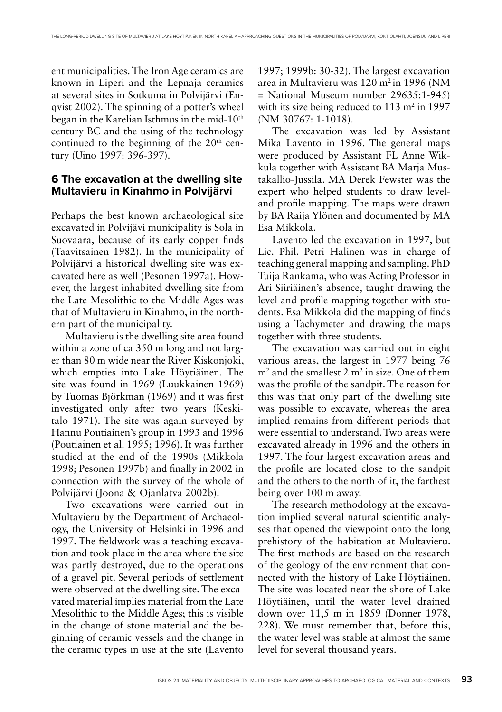ent municipalities. The Iron Age ceramics are known in Liperi and the Lepnaja ceramics at several sites in Sotkuma in Polvijärvi (Enqvist 2002). The spinning of a potter's wheel began in the Karelian Isthmus in the mid-10<sup>th</sup> century BC and the using of the technology continued to the beginning of the  $20<sup>th</sup>$  century (Uino 1997: 396-397).

## **6 The excavation at the dwelling site Multavieru in Kinahmo in Polvijärvi**

Perhaps the best known archaeological site excavated in Polvijävi municipality is Sola in Suovaara, because of its early copper finds (Taavitsainen 1982). In the municipality of Polvijärvi a historical dwelling site was excavated here as well (Pesonen 1997a). However, the largest inhabited dwelling site from the Late Mesolithic to the Middle Ages was that of Multavieru in Kinahmo, in the northern part of the municipality.

Multavieru is the dwelling site area found within a zone of ca 350 m long and not larger than 80 m wide near the River Kiskonjoki, which empties into Lake Höytiäinen. The site was found in 1969 (Luukkainen 1969) by Tuomas Björkman (1969) and it was first investigated only after two years (Keskitalo 1971). The site was again surveyed by Hannu Poutiainen's group in 1993 and 1996 (Poutiainen et al. 1995; 1996). It was further studied at the end of the 1990s (Mikkola 1998; Pesonen 1997b) and finally in 2002 in connection with the survey of the whole of Polvijärvi (Joona & Ojanlatva 2002b).

Two excavations were carried out in Multavieru by the Department of Archaeology, the University of Helsinki in 1996 and 1997. The fieldwork was a teaching excavation and took place in the area where the site was partly destroyed, due to the operations of a gravel pit. Several periods of settlement were observed at the dwelling site. The excavated material implies material from the Late Mesolithic to the Middle Ages; this is visible in the change of stone material and the beginning of ceramic vessels and the change in the ceramic types in use at the site (Lavento

1997; 1999b: 30-32). The largest excavation area in Multavieru was 120 m2 in 1996 (NM = National Museum number 29635:1-945) with its size being reduced to  $113 \text{ m}^2$  in  $1997$ (NM 30767: 1-1018).

The excavation was led by Assistant Mika Lavento in 1996. The general maps were produced by Assistant FL Anne Wikkula together with Assistant BA Marja Mustakallio-Jussila. MA Derek Fewster was the expert who helped students to draw leveland profile mapping. The maps were drawn by BA Raija Ylönen and documented by MA Esa Mikkola.

Lavento led the excavation in 1997, but Lic. Phil. Petri Halinen was in charge of teaching general mapping and sampling. PhD Tuija Rankama, who was Acting Professor in Ari Siiriäinen's absence, taught drawing the level and profile mapping together with students. Esa Mikkola did the mapping of finds using a Tachymeter and drawing the maps together with three students.

The excavation was carried out in eight various areas, the largest in 1977 being 76  $m<sup>2</sup>$  and the smallest 2  $m<sup>2</sup>$  in size. One of them was the profile of the sandpit. The reason for this was that only part of the dwelling site was possible to excavate, whereas the area implied remains from different periods that were essential to understand. Two areas were excavated already in 1996 and the others in 1997. The four largest excavation areas and the profile are located close to the sandpit and the others to the north of it, the farthest being over 100 m away.

The research methodology at the excavation implied several natural scientific analyses that opened the viewpoint onto the long prehistory of the habitation at Multavieru. The first methods are based on the research of the geology of the environment that connected with the history of Lake Höytiäinen. The site was located near the shore of Lake Höytiäinen, until the water level drained down over 11,5 m in 1859 (Donner 1978, 228). We must remember that, before this, the water level was stable at almost the same level for several thousand years.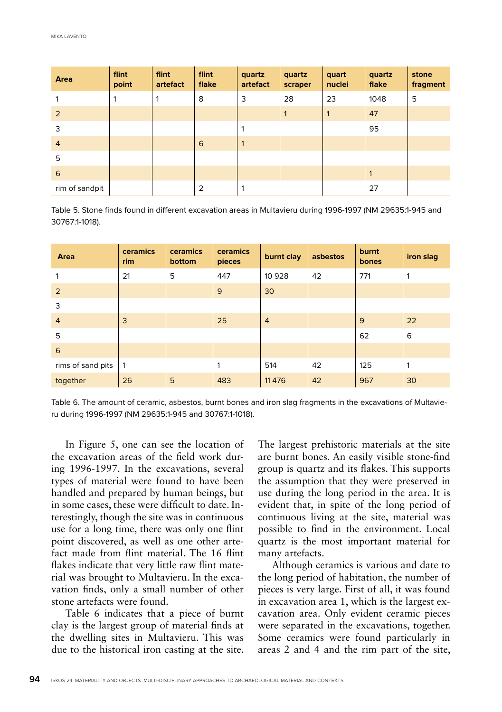| Area           | flint<br>point | flint<br>artefact | flint<br>flake | quartz<br>artefact | quartz<br>scraper | quart<br>nuclei | quartz<br>flake | stone<br>fragment |
|----------------|----------------|-------------------|----------------|--------------------|-------------------|-----------------|-----------------|-------------------|
|                | 1              | 1                 | 8              | 3                  | 28                | 23              | 1048            | 5                 |
| $\overline{2}$ |                |                   |                |                    | $\mathbf{1}$      | $\mathbf{1}$    | 47              |                   |
| 3              |                |                   |                | 1                  |                   |                 | 95              |                   |
| $\overline{4}$ |                |                   | 6              | $\mathbf{1}$       |                   |                 |                 |                   |
| 5              |                |                   |                |                    |                   |                 |                 |                   |
| 6              |                |                   |                |                    |                   |                 | $\mathbf{1}$    |                   |
| rim of sandpit |                |                   | $\overline{2}$ | 1                  |                   |                 | 27              |                   |

Table 5. Stone finds found in different excavation areas in Multavieru during 1996-1997 (NM 29635:1-945 and 30767:1-1018).

| Area              | ceramics<br>rim | ceramics<br>bottom | ceramics<br>pieces | burnt clay     | asbestos | burnt<br>bones | iron slag |
|-------------------|-----------------|--------------------|--------------------|----------------|----------|----------------|-----------|
|                   | 21              | 5                  | 447                | 10 9 28        | 42       | 771            | 1         |
| 2                 |                 |                    | 9                  | 30             |          |                |           |
| 3                 |                 |                    |                    |                |          |                |           |
| $\overline{4}$    | 3               |                    | 25                 | $\overline{4}$ |          | 9              | 22        |
| 5                 |                 |                    |                    |                |          | 62             | 6         |
| 6                 |                 |                    |                    |                |          |                |           |
| rims of sand pits | 1               |                    | 1                  | 514            | 42       | 125            | 1         |
| together          | 26              | 5                  | 483                | 11 4 7 6       | 42       | 967            | 30        |

Table 6. The amount of ceramic, asbestos, burnt bones and iron slag fragments in the excavations of Multavieru during 1996-1997 (NM 29635:1-945 and 30767:1-1018).

In Figure 5, one can see the location of the excavation areas of the field work during 1996-1997. In the excavations, several types of material were found to have been handled and prepared by human beings, but in some cases, these were difficult to date. Interestingly, though the site was in continuous use for a long time, there was only one flint point discovered, as well as one other artefact made from flint material. The 16 flint flakes indicate that very little raw flint material was brought to Multavieru. In the excavation finds, only a small number of other stone artefacts were found.

Table 6 indicates that a piece of burnt clay is the largest group of material finds at the dwelling sites in Multavieru. This was due to the historical iron casting at the site.

The largest prehistoric materials at the site are burnt bones. An easily visible stone-find group is quartz and its flakes. This supports the assumption that they were preserved in use during the long period in the area. It is evident that, in spite of the long period of continuous living at the site, material was possible to find in the environment. Local quartz is the most important material for many artefacts.

Although ceramics is various and date to the long period of habitation, the number of pieces is very large. First of all, it was found in excavation area 1, which is the largest excavation area. Only evident ceramic pieces were separated in the excavations, together. Some ceramics were found particularly in areas 2 and 4 and the rim part of the site,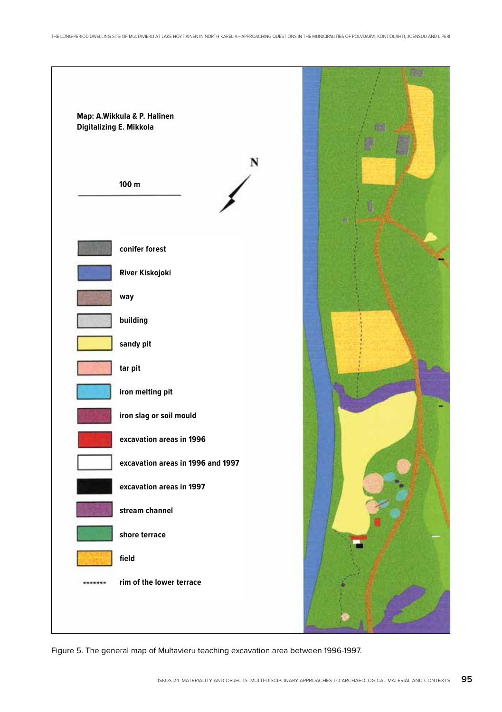

Figure 5. The general map of Multavieru teaching excavation area between 1996-1997.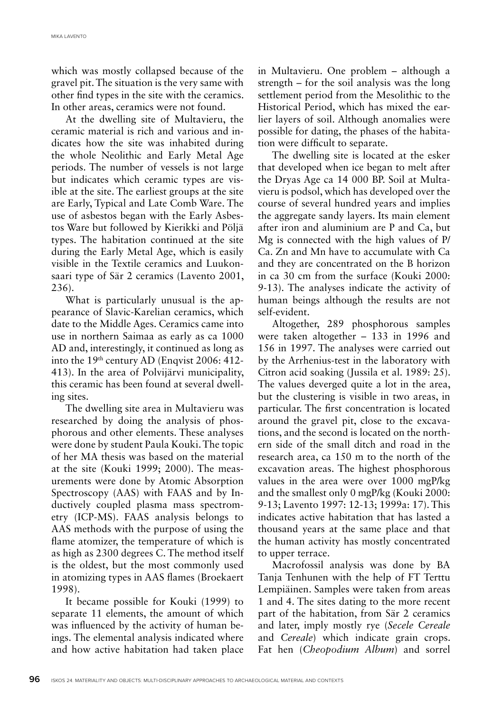which was mostly collapsed because of the gravel pit. The situation is the very same with other find types in the site with the ceramics. In other areas, ceramics were not found.

At the dwelling site of Multavieru, the ceramic material is rich and various and indicates how the site was inhabited during the whole Neolithic and Early Metal Age periods. The number of vessels is not large but indicates which ceramic types are visible at the site. The earliest groups at the site are Early, Typical and Late Comb Ware. The use of asbestos began with the Early Asbestos Ware but followed by Kierikki and Pöljä types. The habitation continued at the site during the Early Metal Age, which is easily visible in the Textile ceramics and Luukonsaari type of Sär 2 ceramics (Lavento 2001, 236).

What is particularly unusual is the appearance of Slavic-Karelian ceramics, which date to the Middle Ages. Ceramics came into use in northern Saimaa as early as ca 1000 AD and, interestingly, it continued as long as into the 19<sup>th</sup> century AD (Enqvist 2006: 412-413). In the area of Polvijärvi municipality, this ceramic has been found at several dwelling sites.

The dwelling site area in Multavieru was researched by doing the analysis of phosphorous and other elements. These analyses were done by student Paula Kouki. The topic of her MA thesis was based on the material at the site (Kouki 1999; 2000). The measurements were done by Atomic Absorption Spectroscopy (AAS) with FAAS and by Inductively coupled plasma mass spectrometry (ICP-MS). FAAS analysis belongs to AAS methods with the purpose of using the flame atomizer, the temperature of which is as high as 2300 degrees C. The method itself is the oldest, but the most commonly used in atomizing types in AAS flames (Broekaert 1998).

It became possible for Kouki (1999) to separate 11 elements, the amount of which was influenced by the activity of human beings. The elemental analysis indicated where and how active habitation had taken place in Multavieru. One problem – although a strength – for the soil analysis was the long settlement period from the Mesolithic to the Historical Period, which has mixed the earlier layers of soil. Although anomalies were possible for dating, the phases of the habitation were difficult to separate.

The dwelling site is located at the esker that developed when ice began to melt after the Dryas Age ca 14 000 BP. Soil at Multavieru is podsol, which has developed over the course of several hundred years and implies the aggregate sandy layers. Its main element after iron and aluminium are P and Ca, but Mg is connected with the high values of P/ Ca. Zn and Mn have to accumulate with Ca and they are concentrated on the B horizon in ca 30 cm from the surface (Kouki 2000: 9-13). The analyses indicate the activity of human beings although the results are not self-evident.

Altogether, 289 phosphorous samples were taken altogether – 133 in 1996 and 156 in 1997. The analyses were carried out by the Arrhenius-test in the laboratory with Citron acid soaking (Jussila et al. 1989: 25). The values deverged quite a lot in the area, but the clustering is visible in two areas, in particular. The first concentration is located around the gravel pit, close to the excavations, and the second is located on the northern side of the small ditch and road in the research area, ca 150 m to the north of the excavation areas. The highest phosphorous values in the area were over 1000 mgP/kg and the smallest only 0 mgP/kg (Kouki 2000: 9-13; Lavento 1997: 12-13; 1999a: 17). This indicates active habitation that has lasted a thousand years at the same place and that the human activity has mostly concentrated to upper terrace.

Macrofossil analysis was done by BA Tanja Tenhunen with the help of FT Terttu Lempiäinen. Samples were taken from areas 1 and 4. The sites dating to the more recent part of the habitation, from Sär 2 ceramics and later, imply mostly rye (*Secele Cereale* and *Cereale*) which indicate grain crops. Fat hen (*Cheopodium Album*) and sorrel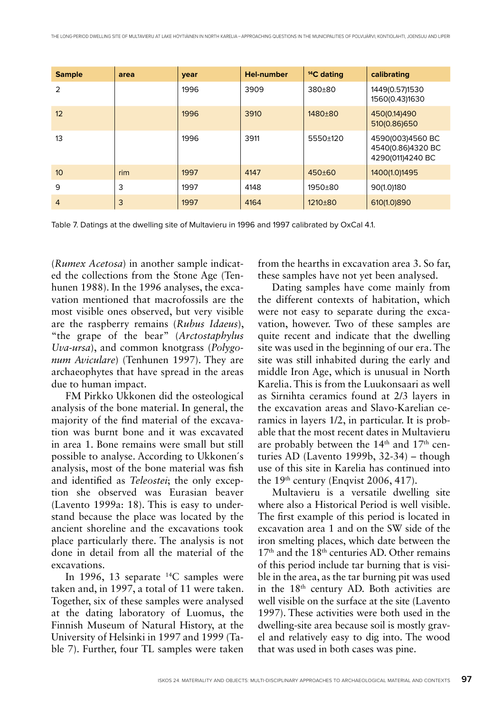| <b>Sample</b>    | area | vear | <b>Hel-number</b> | <sup>14</sup> C dating | calibrating                                               |
|------------------|------|------|-------------------|------------------------|-----------------------------------------------------------|
| $\mathcal{P}$    |      | 1996 | 3909              | $380 + 80$             | 1449(0.57)1530<br>1560(0.43)1630                          |
| 12               |      | 1996 | 3910              | $1480+80$              | 450(0.14)490<br>510(0.86)650                              |
| 13               |      | 1996 | 3911              | 5550+120               | 4590(003)4560 BC<br>4540(0.86)4320 BC<br>4290(011)4240 BC |
| 10 <sup>10</sup> | rim  | 1997 | 4147              | $450+60$               | 1400(1.0)1495                                             |
| 9                | 3    | 1997 | 4148              | $1950+80$              | 90(1.0)180                                                |
| $\overline{4}$   | 3    | 1997 | 4164              | $1210+80$              | 610(1.0)890                                               |

Table 7. Datings at the dwelling site of Multavieru in 1996 and 1997 calibrated by OxCal 4.1.

(*Rumex Acetosa*) in another sample indicated the collections from the Stone Age (Tenhunen 1988). In the 1996 analyses, the excavation mentioned that macrofossils are the most visible ones observed, but very visible are the raspberry remains (*Rubus Idaeus*), "the grape of the bear" (*Arctostaphylus Uva-ursa*), and common knotgrass (*Polygonum Aviculare*) (Tenhunen 1997). They are archaeophytes that have spread in the areas due to human impact.

FM Pirkko Ukkonen did the osteological analysis of the bone material. In general, the majority of the find material of the excavation was burnt bone and it was excavated in area 1. Bone remains were small but still possible to analyse. According to Ukkonen´s analysis, most of the bone material was fish and identified as *Teleostei*; the only exception she observed was Eurasian beaver (Lavento 1999a: 18). This is easy to understand because the place was located by the ancient shoreline and the excavations took place particularly there. The analysis is not done in detail from all the material of the excavations.

In 1996, 13 separate  $^{14}C$  samples were taken and, in 1997, a total of 11 were taken. Together, six of these samples were analysed at the dating laboratory of Luomus, the Finnish Museum of Natural History, at the University of Helsinki in 1997 and 1999 (Table 7). Further, four TL samples were taken from the hearths in excavation area 3. So far, these samples have not yet been analysed.

Dating samples have come mainly from the different contexts of habitation, which were not easy to separate during the excavation, however. Two of these samples are quite recent and indicate that the dwelling site was used in the beginning of our era. The site was still inhabited during the early and middle Iron Age, which is unusual in North Karelia. This is from the Luukonsaari as well as Sirnihta ceramics found at 2/3 layers in the excavation areas and Slavo-Karelian ceramics in layers 1/2, in particular. It is probable that the most recent dates in Multavieru are probably between the 14<sup>th</sup> and 17<sup>th</sup> centuries AD (Lavento 1999b, 32-34) – though use of this site in Karelia has continued into the  $19<sup>th</sup>$  century (Enqvist 2006, 417).

Multavieru is a versatile dwelling site where also a Historical Period is well visible. The first example of this period is located in excavation area 1 and on the SW side of the iron smelting places, which date between the 17th and the 18th centuries AD. Other remains of this period include tar burning that is visible in the area, as the tar burning pit was used in the 18th century AD. Both activities are well visible on the surface at the site (Lavento 1997). These activities were both used in the dwelling-site area because soil is mostly gravel and relatively easy to dig into. The wood that was used in both cases was pine.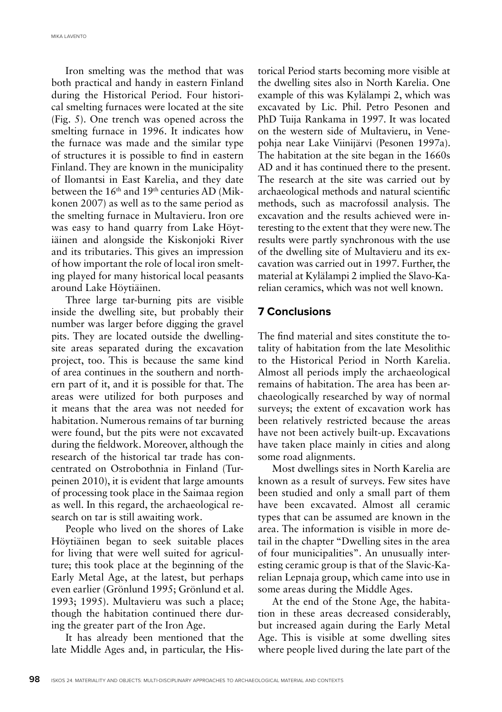Iron smelting was the method that was both practical and handy in eastern Finland during the Historical Period. Four historical smelting furnaces were located at the site (Fig. 5). One trench was opened across the smelting furnace in 1996. It indicates how the furnace was made and the similar type of structures it is possible to find in eastern Finland. They are known in the municipality of Ilomantsi in East Karelia, and they date between the  $16<sup>th</sup>$  and  $19<sup>th</sup>$  centuries AD (Mikkonen 2007) as well as to the same period as the smelting furnace in Multavieru. Iron ore was easy to hand quarry from Lake Höytiäinen and alongside the Kiskonjoki River and its tributaries. This gives an impression of how important the role of local iron smelting played for many historical local peasants around Lake Höytiäinen.

Three large tar-burning pits are visible inside the dwelling site, but probably their number was larger before digging the gravel pits. They are located outside the dwellingsite areas separated during the excavation project, too. This is because the same kind of area continues in the southern and northern part of it, and it is possible for that. The areas were utilized for both purposes and it means that the area was not needed for habitation. Numerous remains of tar burning were found, but the pits were not excavated during the fieldwork. Moreover, although the research of the historical tar trade has concentrated on Ostrobothnia in Finland (Turpeinen 2010), it is evident that large amounts of processing took place in the Saimaa region as well. In this regard, the archaeological research on tar is still awaiting work.

People who lived on the shores of Lake Höytiäinen began to seek suitable places for living that were well suited for agriculture; this took place at the beginning of the Early Metal Age, at the latest, but perhaps even earlier (Grönlund 1995; Grönlund et al. 1993; 1995). Multavieru was such a place; though the habitation continued there during the greater part of the Iron Age.

It has already been mentioned that the late Middle Ages and, in particular, the Historical Period starts becoming more visible at the dwelling sites also in North Karelia. One example of this was Kylälampi 2, which was excavated by Lic. Phil. Petro Pesonen and PhD Tuija Rankama in 1997. It was located on the western side of Multavieru, in Venepohja near Lake Viinijärvi (Pesonen 1997a). The habitation at the site began in the 1660s AD and it has continued there to the present. The research at the site was carried out by archaeological methods and natural scientific methods, such as macrofossil analysis. The excavation and the results achieved were interesting to the extent that they were new. The results were partly synchronous with the use of the dwelling site of Multavieru and its excavation was carried out in 1997. Further, the material at Kylälampi 2 implied the Slavo-Karelian ceramics, which was not well known.

#### **7 Conclusions**

The find material and sites constitute the totality of habitation from the late Mesolithic to the Historical Period in North Karelia. Almost all periods imply the archaeological remains of habitation. The area has been archaeologically researched by way of normal surveys; the extent of excavation work has been relatively restricted because the areas have not been actively built-up. Excavations have taken place mainly in cities and along some road alignments.

Most dwellings sites in North Karelia are known as a result of surveys. Few sites have been studied and only a small part of them have been excavated. Almost all ceramic types that can be assumed are known in the area. The information is visible in more detail in the chapter "Dwelling sites in the area of four municipalities". An unusually interesting ceramic group is that of the Slavic-Karelian Lepnaja group, which came into use in some areas during the Middle Ages.

At the end of the Stone Age, the habitation in these areas decreased considerably, but increased again during the Early Metal Age. This is visible at some dwelling sites where people lived during the late part of the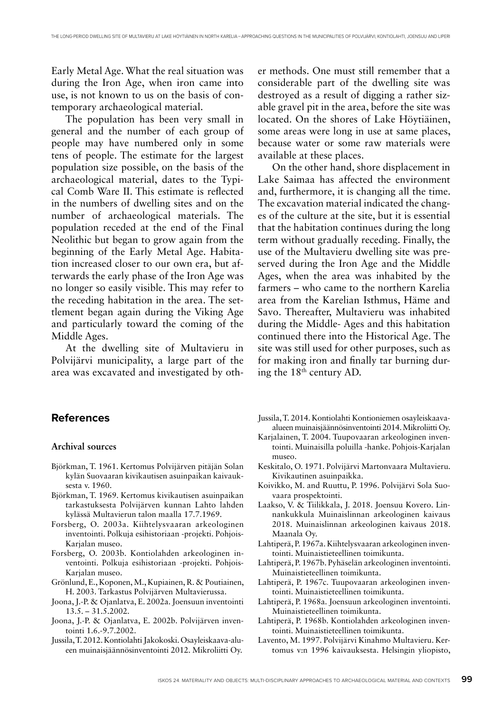Early Metal Age. What the real situation was during the Iron Age, when iron came into use, is not known to us on the basis of contemporary archaeological material.

The population has been very small in general and the number of each group of people may have numbered only in some tens of people. The estimate for the largest population size possible, on the basis of the archaeological material, dates to the Typical Comb Ware II. This estimate is reflected in the numbers of dwelling sites and on the number of archaeological materials. The population receded at the end of the Final Neolithic but began to grow again from the beginning of the Early Metal Age. Habitation increased closer to our own era, but afterwards the early phase of the Iron Age was no longer so easily visible. This may refer to the receding habitation in the area. The settlement began again during the Viking Age and particularly toward the coming of the Middle Ages.

At the dwelling site of Multavieru in Polvijärvi municipality, a large part of the area was excavated and investigated by oth-

#### **References**

#### **Archival sources**

- Björkman, T. 1961. Kertomus Polvijärven pitäjän Solan kylän Suovaaran kivikautisen asuinpaikan kaivauksesta v. 1960.
- Björkman, T. 1969. Kertomus kivikautisen asuinpaikan tarkastuksesta Polvijärven kunnan Lahto lahden kylässä Multavierun talon maalla 17.7.1969.
- Forsberg, O. 2003a. Kiihtelysvaaran arkeologinen inventointi. Polkuja esihistoriaan -projekti. Pohjois-Karjalan museo.
- Forsberg, O. 2003b. Kontiolahden arkeologinen inventointi. Polkuja esihistoriaan -projekti. Pohjois-Karjalan museo.
- Grönlund, E., Koponen, M., Kupiainen, R. & Poutiainen, H. 2003. Tarkastus Polvijärven Multavierussa.
- Joona, J.-P. & Ojanlatva, E. 2002a. Joensuun inventointi 13.5. – 31.5.2002.
- Joona, J.-P. & Ojanlatva, E. 2002b. Polvijärven inventointi 1.6.-9.7.2002.
- Jussila, T. 2012. Kontiolahti Jakokoski. Osayleiskaava-alueen muinaisjäännösinventointi 2012. Mikroliitti Oy.

er methods. One must still remember that a considerable part of the dwelling site was destroyed as a result of digging a rather sizable gravel pit in the area, before the site was located. On the shores of Lake Höytiäinen, some areas were long in use at same places, because water or some raw materials were available at these places.

On the other hand, shore displacement in Lake Saimaa has affected the environment and, furthermore, it is changing all the time. The excavation material indicated the changes of the culture at the site, but it is essential that the habitation continues during the long term without gradually receding. Finally, the use of the Multavieru dwelling site was preserved during the Iron Age and the Middle Ages, when the area was inhabited by the farmers – who came to the northern Karelia area from the Karelian Isthmus, Häme and Savo. Thereafter, Multavieru was inhabited during the Middle- Ages and this habitation continued there into the Historical Age. The site was still used for other purposes, such as for making iron and finally tar burning during the  $18<sup>th</sup>$  century AD.

- Jussila, T. 2014. Kontiolahti Kontioniemen osayleiskaavaalueen muinaisjäännösinventointi 2014. Mikroliitti Oy.
- Karjalainen, T. 2004. Tuupovaaran arkeologinen inventointi. Muinaisilla poluilla -hanke. Pohjois-Karjalan museo.
- Keskitalo, O. 1971. Polvijärvi Martonvaara Multavieru. Kivikautinen asuinpaikka.
- Koivikko, M. and Ruuttu, P. 1996. Polvijärvi Sola Suovaara prospektointi.
- Laakso, V. & Tiilikkala, J. 2018. Joensuu Kovero. Linnankukkula Muinaislinnan arkeologinen kaivaus 2018. Muinaislinnan arkeologinen kaivaus 2018. Maanala Oy.
- Lahtiperä, P. 1967a. Kiihtelysvaaran arkeologinen inventointi. Muinaistieteellinen toimikunta.
- Lahtiperä, P. 1967b. Pyhäselän arkeologinen inventointi. Muinaistieteellinen toimikunta.
- Lahtiperä, P. 1967c. Tuupovaaran arkeologinen inventointi. Muinaistieteellinen toimikunta.
- Lahtiperä, P. 1968a. Joensuun arkeologinen inventointi. Muinaistieteellinen toimikunta.
- Lahtiperä, P. 1968b. Kontiolahden arkeologinen inventointi. Muinaistieteellinen toimikunta.
- Lavento, M. 1997. Polvijärvi Kinahmo Multavieru. Kertomus v:n 1996 kaivauksesta. Helsingin yliopisto,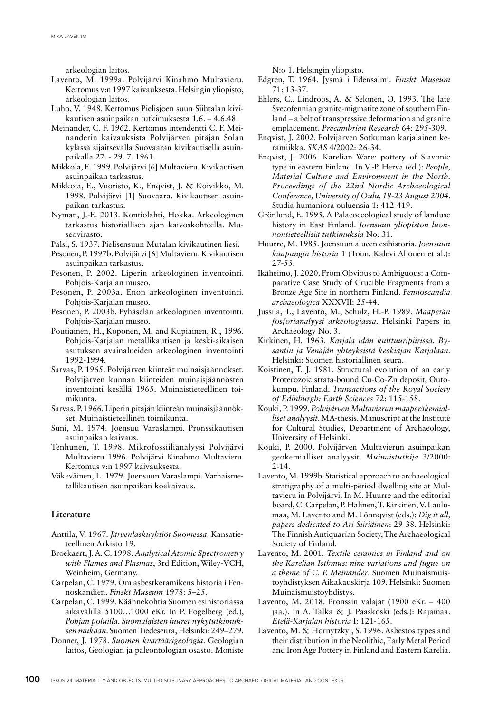arkeologian laitos.

- Lavento, M. 1999a. Polvijärvi Kinahmo Multavieru. Kertomus v:n 1997 kaivauksesta. Helsingin yliopisto, arkeologian laitos.
- Luho, V. 1948. Kertomus Pielisjoen suun Siihtalan kivikautisen asuinpaikan tutkimuksesta 1.6. – 4.6.48.
- Meinander, C. F. 1962. Kertomus intendentti C. F. Meinanderin kaivauksista Polvijärven pitäjän Solan kylässä sijaitsevalla Suovaaran kivikautisella asuinpaikalla 27. - 29. 7. 1961.
- Mikkola, E. 1999. Polvijärvi [6] Multavieru. Kivikautisen asuinpaikan tarkastus.
- Mikkola, E., Vuoristo, K., Enqvist, J. & Koivikko, M. 1998. Polvijärvi [1] Suovaara. Kivikautisen asuinpaikan tarkastus.
- Nyman, J.-E. 2013. Kontiolahti, Hokka. Arkeologinen tarkastus historiallisen ajan kaivoskohteella. Museovirasto.
- Pälsi, S. 1937. Pielisensuun Mutalan kivikautinen liesi.
- Pesonen, P. 1997b. Polvijärvi [6] Multavieru. Kivikautisen asuinpaikan tarkastus.
- Pesonen, P. 2002. Liperin arkeologinen inventointi. Pohjois-Karjalan museo.
- Pesonen, P. 2003a. Enon arkeologinen inventointi. Pohjois-Karjalan museo.
- Pesonen, P. 2003b. Pyhäselän arkeologinen inventointi. Pohjois-Karjalan museo.
- Poutiainen, H., Koponen, M. and Kupiainen, R., 1996. Pohjois-Karjalan metallikautisen ja keski-aikaisen asutuksen avainalueiden arkeologinen inventointi 1992-1994.
- Sarvas, P. 1965. Polvijärven kiinteät muinaisjäännökset. Polvijärven kunnan kiinteiden muinaisjäännösten inventointi kesällä 1965. Muinaistieteellinen toimikunta.
- Sarvas, P. 1966. Liperin pitäjän kiinteän muinaisjäännökset. Muinaistieteellinen toimikunta.
- Suni, M. 1974. Joensuu Varaslampi. Pronssikautisen asuinpaikan kaivaus.
- Tenhunen, T. 1998. Mikrofossiilianalyysi Polvijärvi Multavieru 1996. Polvijärvi Kinahmo Multavieru. Kertomus v:n 1997 kaivauksesta.
- Väkeväinen, L. 1979. Joensuun Varaslampi. Varhaismetallikautisen asuinpaikan koekaivaus.

#### **Literature**

- Anttila, V. 1967. *Järvenlaskuyhtiöt Suomessa*. Kansatieteellinen Arkisto 19.
- Broekaert, J. A. C. 1998. *Analytical Atomic Spectrometry with Flames and Plasmas*, 3rd Edition, Wiley-VCH, Weinheim, Germany.
- Carpelan, C. 1979. Om asbestkeramikens historia i Fennoskandien. *Finskt Museum* 1978: 5–25.
- Carpelan, C. 1999. Käännekohtia Suomen esihistoriassa aikavälillä 5100…1000 eKr. In P. Fogelberg (ed.), *Pohjan poluilla. Suomalaisten juuret nykytutkimuksen mukaan*. Suomen Tiedeseura, Helsinki: 249–279.
- Donner, J. 1978. *Suomen kvartäärigeologia*. Geologian laitos, Geologian ja paleontologian osasto. Moniste

N:o 1. Helsingin yliopisto.

- Edgren, T. 1964. Jysmä i Iidensalmi. *Finskt Museum* 71: 13-37.
- Ehlers, C., Lindroos, A. & Selonen, O. 1993. The late Svecofennian granite-migmatite zone of southern Finland – a belt of transpressive deformation and granite emplacement. *Precambrian Research* 64: 295-309.
- Enqvist, J. 2002. Polvijärven Sotkuman karjalainen keramiikka. *SKAS* 4/2002: 26-34.
- Enqvist, J. 2006. Karelian Ware: pottery of Slavonic type in eastern Finland. In V.-P. Herva (ed.): *People, Material Culture and Environment in the North. Proceedings of the 22nd Nordic Archaeological Conference, University of Oulu, 18-23 August 2004*. Studia humaniora ouluensia 1: 412-419.
- Grönlund, E. 1995. A Palaeoecological study of landuse history in East Finland. *Joensuun yliopiston luonnontieteellisiä tutkimuksia* No: 31.
- Huurre, M. 1985. Joensuun alueen esihistoria. *Joensuun kaupungin historia* 1 (Toim. Kalevi Ahonen et al.): 27-55.
- Ikäheimo, J. 2020. From Obvious to Ambiguous: a Comparative Case Study of Crucible Fragments from a Bronze Age Site in northern Finland. *Fennoscandia archaeologica* XXXVII: 25-44.
- Jussila, T., Lavento, M., Schulz, H.-P. 1989. *Maaperän fosforianalyysi arkeologiassa*. Helsinki Papers in Archaeology No. 3.
- Kirkinen, H. 1963. *Karjala idän kulttuuripiirissä. Bysantin ja Venäjän yhteyksistä keskiajan Karjalaan*. Helsinki: Suomen historiallinen seura.
- Koistinen, T. J. 1981. Structural evolution of an early Proterozoic strata-bound Cu-Co-Zn deposit, Outokumpu, Finland. *Transactions of the Royal Society of Edinburgh: Earth Sciences* 72: 115-158.
- Kouki, P. 1999. *Polvijärven Multavierun maaperäkemialliset analyysit*. MA-thesis. Manuscript at the Institute for Cultural Studies, Department of Archaeology, University of Helsinki.
- Kouki, P. 2000. Polvijärven Multavierun asuinpaikan geokemialliset analyysit. *Muinaistutkija* 3/2000: 2-14.
- Lavento, M. 1999b. Statistical approach to archaeological stratigraphy of a multi-period dwelling site at Multavieru in Polvijärvi. In M. Huurre and the editorial board, C. Carpelan, P. Halinen, T. Kirkinen, V. Laulumaa, M. Lavento and M. Lönnqvist (eds.): *Dig it all, papers dedicated to Ari Siiriäinen*: 29-38. Helsinki: The Finnish Antiquarian Society, The Archaeological Society of Finland.
- Lavento, M. 2001. *Textile ceramics in Finland and on the Karelian Isthmus: nine variations and fugue on a theme of C. F. Meinander*. Suomen Muinaismuistoyhdistyksen Aikakauskirja 109. Helsinki: Suomen Muinaismuistoyhdistys.
- Lavento, M. 2018. Pronssin valajat (1900 eKr. 400 jaa.). In A. Talka & J. Paaskoski (eds.): Rajamaa. *Etelä-Karjalan historia* I: 121-165.
- Lavento, M. & Hornytzkyj, S. 1996. Asbestos types and their distribution in the Neolithic, Early Metal Period and Iron Age Pottery in Finland and Eastern Karelia.